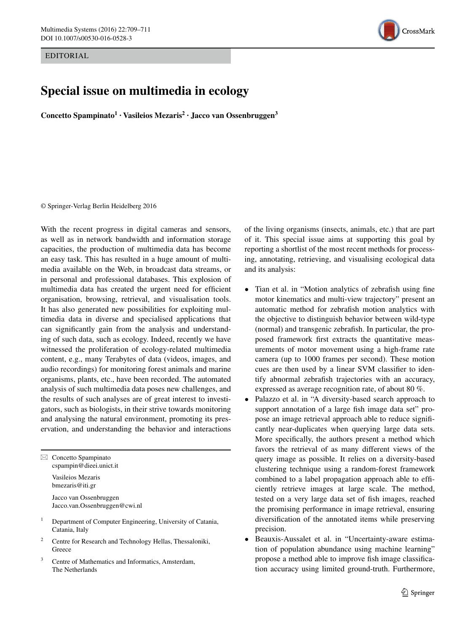## EDITORIAL



**Concetto Spampinato<sup>1</sup> • Vasileios Mezaris<sup>2</sup> • Jacco van Ossenbruggen**<sup>3</sup>

© Springer-Verlag Berlin Heidelberg 2016

With the recent progress in digital cameras and sensors, as well as in network bandwidth and information storage capacities, the production of multimedia data has become an easy task. This has resulted in a huge amount of multimedia available on the Web, in broadcast data streams, or in personal and professional databases. This explosion of multimedia data has created the urgent need for efficient organisation, browsing, retrieval, and visualisation tools. It has also generated new possibilities for exploiting multimedia data in diverse and specialised applications that can significantly gain from the analysis and understanding of such data, such as ecology. Indeed, recently we have witnessed the proliferation of ecology-related multimedia content, e.g., many Terabytes of data (videos, images, and audio recordings) for monitoring forest animals and marine organisms, plants, etc., have been recorded. The automated analysis of such multimedia data poses new challenges, and the results of such analyses are of great interest to investigators, such as biologists, in their strive towards monitoring and analysing the natural environment, promoting its preservation, and understanding the behavior and interactions

 $\boxtimes$  Concetto Spampinato cspampin@dieei.unict.it Vasileios Mezaris bmezaris@iti.gr

> Jacco van Ossenbruggen Jacco.van.Ossenbruggen@cwi.nl

- <sup>1</sup> Department of Computer Engineering, University of Catania, Catania, Italy
- <sup>2</sup> Centre for Research and Technology Hellas, Thessaloniki, **Greece**
- <sup>3</sup> Centre of Mathematics and Informatics, Amsterdam, The Netherlands

of the living organisms (insects, animals, etc.) that are part of it. This special issue aims at supporting this goal by reporting a shortlist of the most recent methods for processing, annotating, retrieving, and visualising ecological data and its analysis:

- Tian et al. in "Motion analytics of zebrafish using fine motor kinematics and multi-view trajectory" present an automatic method for zebrafish motion analytics with the objective to distinguish behavior between wild-type (normal) and transgenic zebrafish. In particular, the proposed framework first extracts the quantitative measurements of motor movement using a high-frame rate camera (up to 1000 frames per second). These motion cues are then used by a linear SVM classifier to identify abnormal zebrafish trajectories with an accuracy, expressed as average recognition rate, of about 80 %.
- Palazzo et al. in "A diversity-based search approach to support annotation of a large fish image data set" propose an image retrieval approach able to reduce significantly near-duplicates when querying large data sets. More specifically, the authors present a method which favors the retrieval of as many different views of the query image as possible. It relies on a diversity-based clustering technique using a random-forest framework combined to a label propagation approach able to efficiently retrieve images at large scale. The method, tested on a very large data set of fish images, reached the promising performance in image retrieval, ensuring diversification of the annotated items while preserving precision.
- Beauxis-Aussalet et al. in "Uncertainty-aware estimation of population abundance using machine learning" propose a method able to improve fish image classification accuracy using limited ground-truth. Furthermore,

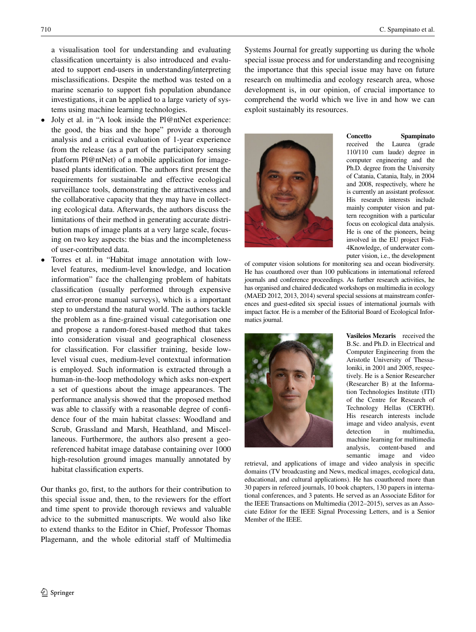a visualisation tool for understanding and evaluating classification uncertainty is also introduced and evaluated to support end-users in understanding/interpreting misclassifications. Despite the method was tested on a marine scenario to support fish population abundance investigations, it can be applied to a large variety of systems using machine learning technologies.

- Joly et al. in "A look inside the Pl@ntNet experience: the good, the bias and the hope" provide a thorough analysis and a critical evaluation of 1-year experience from the release (as a part of the participatory sensing platform Pl@ntNet) of a mobile application for imagebased plants identification. The authors first present the requirements for sustainable and effective ecological surveillance tools, demonstrating the attractiveness and the collaborative capacity that they may have in collecting ecological data. Afterwards, the authors discuss the limitations of their method in generating accurate distribution maps of image plants at a very large scale, focusing on two key aspects: the bias and the incompleteness of user-contributed data.
- Torres et al. in "Habitat image annotation with lowlevel features, medium-level knowledge, and location information" face the challenging problem of habitats classification (usually performed through expensive and error-prone manual surveys), which is a important step to understand the natural world. The authors tackle the problem as a fine-grained visual categorisation one and propose a random-forest-based method that takes into consideration visual and geographical closeness for classification. For classifier training, beside lowlevel visual cues, medium-level contextual information is employed. Such information is extracted through a human-in-the-loop methodology which asks non-expert a set of questions about the image appearances. The performance analysis showed that the proposed method was able to classify with a reasonable degree of confidence four of the main habitat classes: Woodland and Scrub, Grassland and Marsh, Heathland, and Miscellaneous. Furthermore, the authors also present a georeferenced habitat image database containing over 1000 high-resolution ground images manually annotated by habitat classification experts.

Our thanks go, first, to the authors for their contribution to this special issue and, then, to the reviewers for the effort and time spent to provide thorough reviews and valuable advice to the submitted manuscripts. We would also like to extend thanks to the Editor in Chief, Professor Thomas Plagemann, and the whole editorial staff of Multimedia

Systems Journal for greatly supporting us during the whole special issue process and for understanding and recognising the importance that this special issue may have on future research on multimedia and ecology research area, whose development is, in our opinion, of crucial importance to comprehend the world which we live in and how we can exploit sustainably its resources.



**Concetto Spampinato** received the Laurea (grade 110/110 cum laude) degree in computer engineering and the Ph.D. degree from the University of Catania, Catania, Italy, in 2004 and 2008, respectively, where he is currently an assistant professor. His research interests include mainly computer vision and pattern recognition with a particular focus on ecological data analysis. He is one of the pioneers, being involved in the EU project Fish-4Knowledge, of underwater computer vision, i.e., the development

of computer vision solutions for monitoring sea and ocean biodiversity. He has coauthored over than 100 publications in international refereed journals and conference proceedings. As further research activities, he has organised and chaired dedicated workshops on multimedia in ecology (MAED 2012, 2013, 2014) several special sessions at mainstream conferences and guest-edited six special issues of international journals with impact factor. He is a member of the Editorial Board of Ecological Informatics journal.



**Vasileios Mezaris** received the B.Sc. and Ph.D. in Electrical and Computer Engineering from the Aristotle University of Thessaloniki, in 2001 and 2005, respectively. He is a Senior Researcher (Researcher B) at the Information Technologies Institute (ITI) of the Centre for Research of Technology Hellas (CERTH). His research interests include image and video analysis, event detection in multimedia, machine learning for multimedia analysis, content-based and semantic image and video

retrieval, and applications of image and video analysis in specific domains (TV broadcasting and News, medical images, ecological data, educational, and cultural applications). He has coauthored more than 30 papers in refereed journals, 10 book chapters, 130 papers in international conferences, and 3 patents. He served as an Associate Editor for the IEEE Transactions on Multimedia (2012–2015), serves as an Associate Editor for the IEEE Signal Processing Letters, and is a Senior Member of the IEEE.